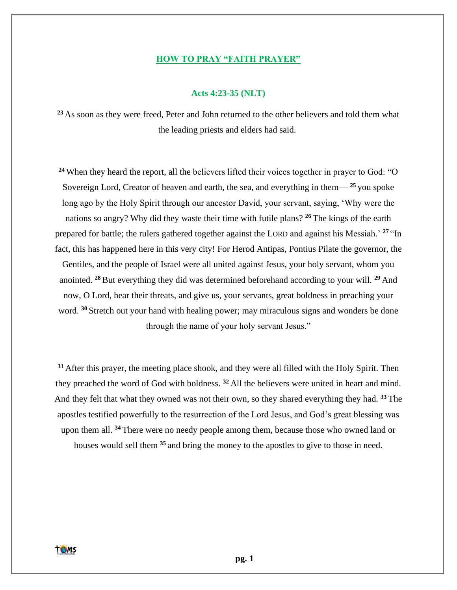### **HOW TO PRAY "FAITH PRAYER"**

### **Acts 4:23-35 (NLT)**

**<sup>23</sup>** As soon as they were freed, Peter and John returned to the other believers and told them what the leading priests and elders had said.

**<sup>24</sup>** When they heard the report, all the believers lifted their voices together in prayer to God: "O Sovereign Lord, Creator of heaven and earth, the sea, and everything in them— **<sup>25</sup>** you spoke long ago by the Holy Spirit through our ancestor David, your servant, saying, 'Why were the nations so angry? Why did they waste their time with futile plans? **<sup>26</sup>** The kings of the earth prepared for battle; the rulers gathered together against the LORD and against his Messiah.' **<sup>27</sup>** "In fact, this has happened here in this very city! For Herod Antipas, Pontius Pilate the governor, the Gentiles, and the people of Israel were all united against Jesus, your holy servant, whom you anointed. **<sup>28</sup>**But everything they did was determined beforehand according to your will. **<sup>29</sup>** And now, O Lord, hear their threats, and give us, your servants, great boldness in preaching your word. <sup>30</sup> Stretch out your hand with healing power; may miraculous signs and wonders be done through the name of your holy servant Jesus."

**<sup>31</sup>** After this prayer, the meeting place shook, and they were all filled with the Holy Spirit. Then they preached the word of God with boldness. **<sup>32</sup>** All the believers were united in heart and mind. And they felt that what they owned was not their own, so they shared everything they had. **<sup>33</sup>** The apostles testified powerfully to the resurrection of the Lord Jesus, and God's great blessing was upon them all. **<sup>34</sup>** There were no needy people among them, because those who owned land or houses would sell them **<sup>35</sup>** and bring the money to the apostles to give to those in need.

**TOMS**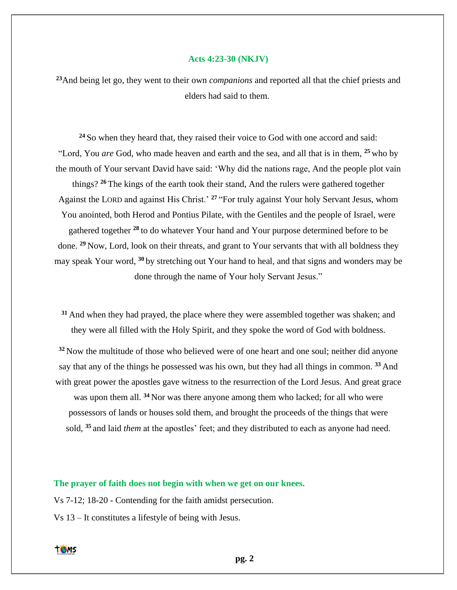#### **Acts 4:23-30 (NKJV)**

**<sup>23</sup>**And being let go, they went to their own *companions* and reported all that the chief priests and elders had said to them.

**<sup>24</sup>** So when they heard that, they raised their voice to God with one accord and said: "Lord, You *are* God, who made heaven and earth and the sea, and all that is in them, **<sup>25</sup>** who by the mouth of Your servant David have said: 'Why did the nations rage, And the people plot vain things? **<sup>26</sup>** The kings of the earth took their stand, And the rulers were gathered together Against the LORD and against His Christ.' **<sup>27</sup>** "For truly against Your holy Servant Jesus, whom You anointed, both Herod and Pontius Pilate, with the Gentiles and the people of Israel, were gathered together **<sup>28</sup>** to do whatever Your hand and Your purpose determined before to be done. **<sup>29</sup>** Now, Lord, look on their threats, and grant to Your servants that with all boldness they may speak Your word, **<sup>30</sup>** by stretching out Your hand to heal, and that signs and wonders may be done through the name of Your holy Servant Jesus."

**<sup>31</sup>** And when they had prayed, the place where they were assembled together was shaken; and they were all filled with the Holy Spirit, and they spoke the word of God with boldness.

**<sup>32</sup>** Now the multitude of those who believed were of one heart and one soul; neither did anyone say that any of the things he possessed was his own, but they had all things in common. **<sup>33</sup>** And with great power the apostles gave witness to the resurrection of the Lord Jesus. And great grace was upon them all. **<sup>34</sup>** Nor was there anyone among them who lacked; for all who were possessors of lands or houses sold them, and brought the proceeds of the things that were sold, **<sup>35</sup>** and laid *them* at the apostles' feet; and they distributed to each as anyone had need.

# **The prayer of faith does not begin with when we get on our knees.**

Vs 7-12; 18-20 - Contending for the faith amidst persecution.

Vs 13 – It constitutes a lifestyle of being with Jesus.